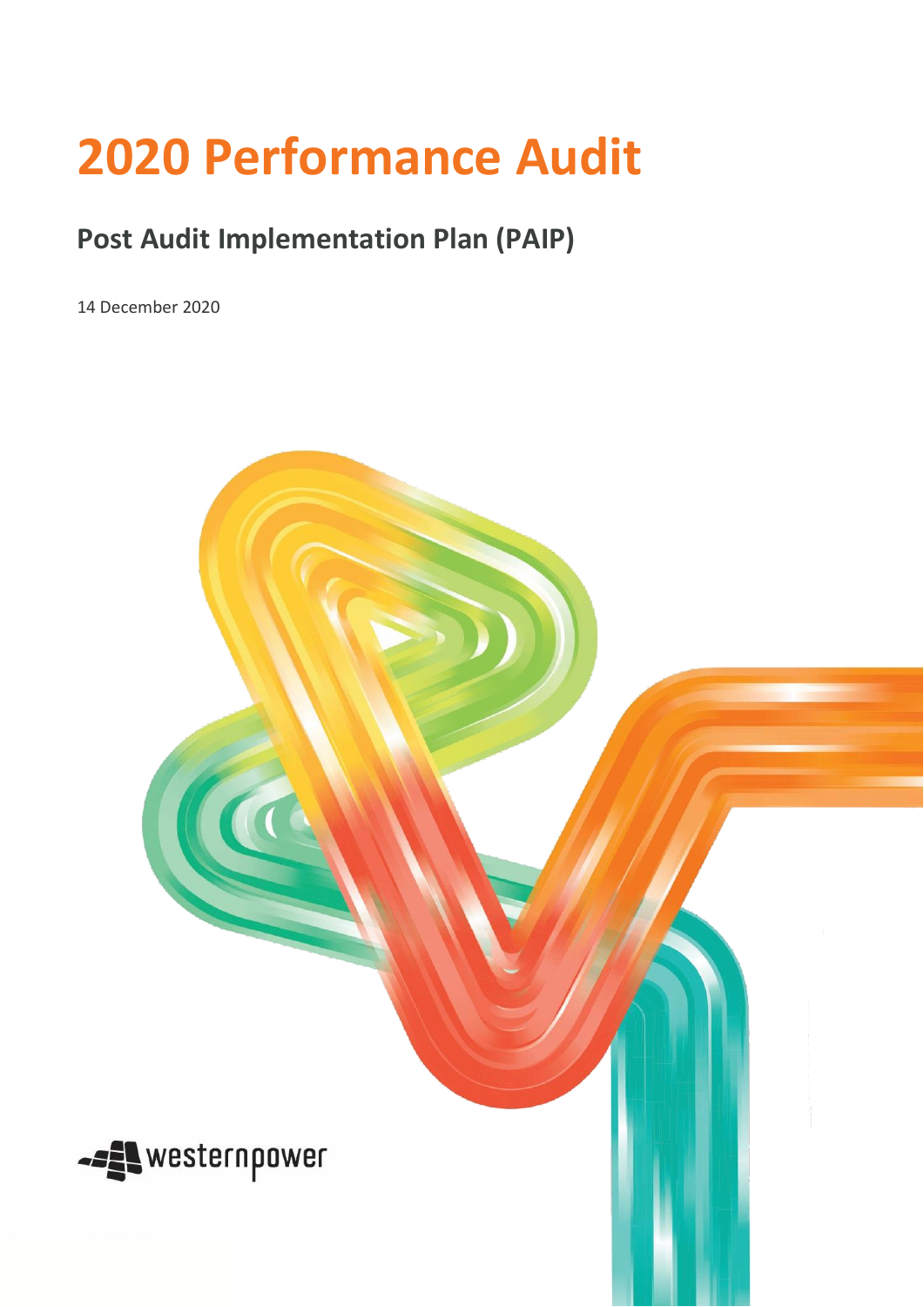## **2020 Performance Audit**

## **Post Audit Implementation Plan (PAIP)**

14 December 2020

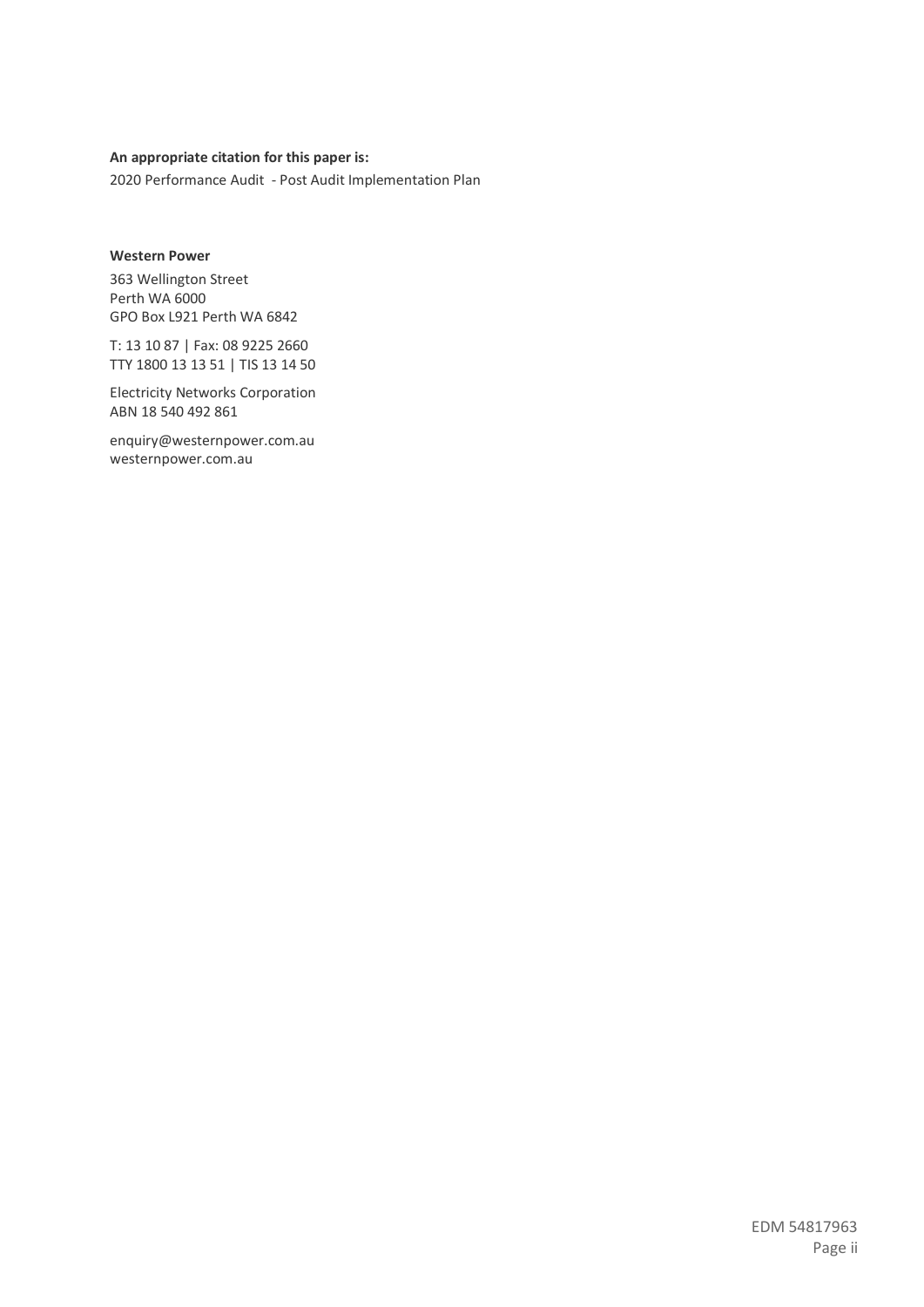## **An appropriate citation for this paper is:**

2020 Performance Audit - Post Audit Implementation Plan

## **Western Power**

363 Wellington Street Perth WA 6000 GPO Box L921 Perth WA 6842

T: 13 10 87 | Fax: 08 9225 2660 TTY 1800 13 13 51 | TIS 13 14 50

Electricity Networks Corporation ABN 18 540 492 861

enquiry@westernpower.com.au westernpower.com.au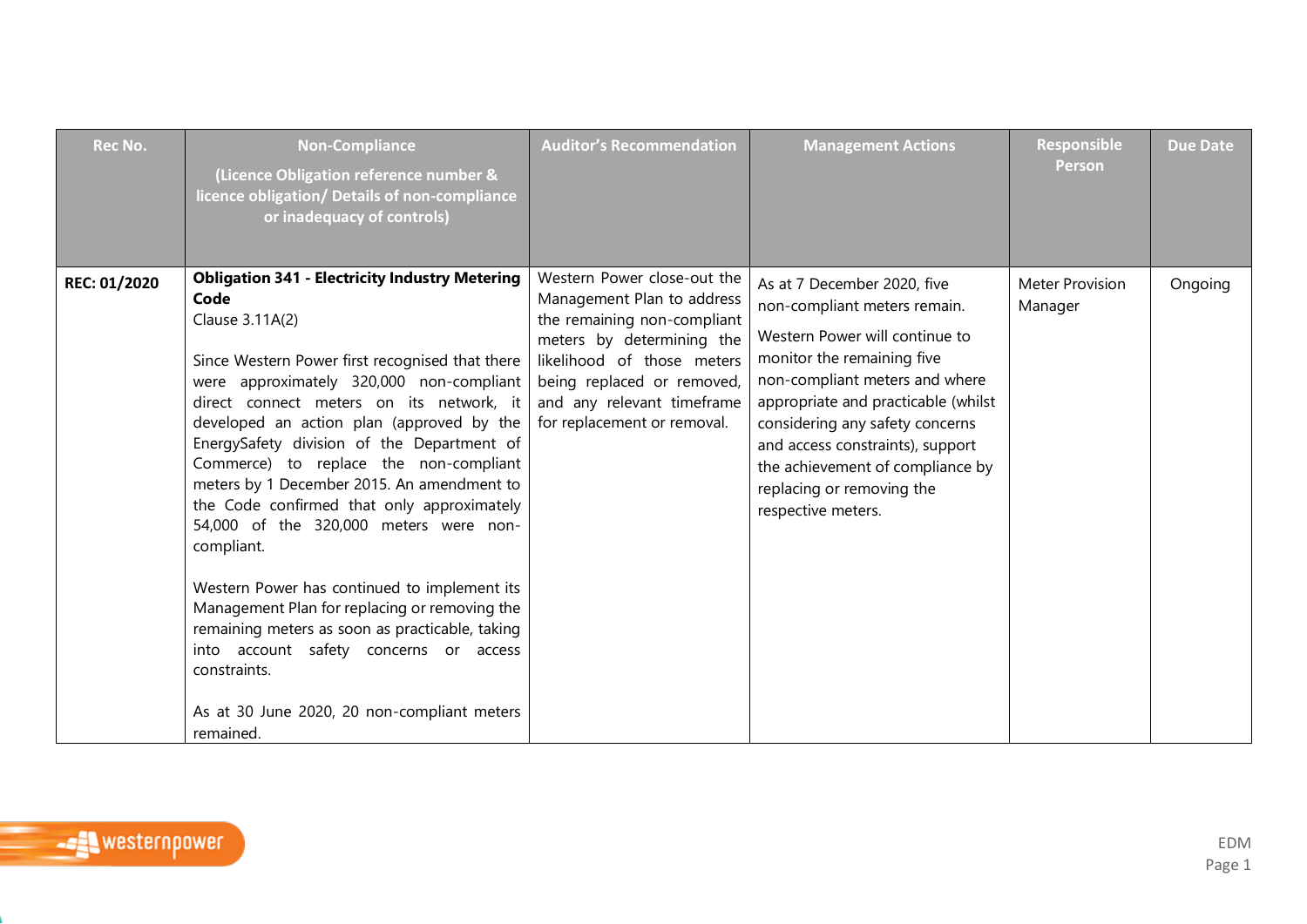| <b>Rec No.</b> | <b>Non-Compliance</b><br>(Licence Obligation reference number &<br>licence obligation/ Details of non-compliance<br>or inadequacy of controls)                                                                                                                                                                                                                                                                                                                                                                                                                                                                                                                                                                                                                                                 | <b>Auditor's Recommendation</b>                                                                                                                                                                                                                | <b>Management Actions</b>                                                                                                                                                                                                                                                                                                                                          | Responsible<br><b>Person</b>      | <b>Due Date</b> |
|----------------|------------------------------------------------------------------------------------------------------------------------------------------------------------------------------------------------------------------------------------------------------------------------------------------------------------------------------------------------------------------------------------------------------------------------------------------------------------------------------------------------------------------------------------------------------------------------------------------------------------------------------------------------------------------------------------------------------------------------------------------------------------------------------------------------|------------------------------------------------------------------------------------------------------------------------------------------------------------------------------------------------------------------------------------------------|--------------------------------------------------------------------------------------------------------------------------------------------------------------------------------------------------------------------------------------------------------------------------------------------------------------------------------------------------------------------|-----------------------------------|-----------------|
| REC: 01/2020   | <b>Obligation 341 - Electricity Industry Metering</b><br>Code<br>Clause 3.11A(2)<br>Since Western Power first recognised that there<br>were approximately 320,000 non-compliant<br>direct connect meters on its network, it<br>developed an action plan (approved by the<br>EnergySafety division of the Department of<br>Commerce) to replace the non-compliant<br>meters by 1 December 2015. An amendment to<br>the Code confirmed that only approximately<br>54,000 of the 320,000 meters were non-<br>compliant.<br>Western Power has continued to implement its<br>Management Plan for replacing or removing the<br>remaining meters as soon as practicable, taking<br>into account safety concerns or access<br>constraints.<br>As at 30 June 2020, 20 non-compliant meters<br>remained. | Western Power close-out the<br>Management Plan to address<br>the remaining non-compliant<br>meters by determining the<br>likelihood of those meters<br>being replaced or removed,<br>and any relevant timeframe<br>for replacement or removal. | As at 7 December 2020, five<br>non-compliant meters remain.<br>Western Power will continue to<br>monitor the remaining five<br>non-compliant meters and where<br>appropriate and practicable (whilst<br>considering any safety concerns<br>and access constraints), support<br>the achievement of compliance by<br>replacing or removing the<br>respective meters. | <b>Meter Provision</b><br>Manager | Ongoing         |

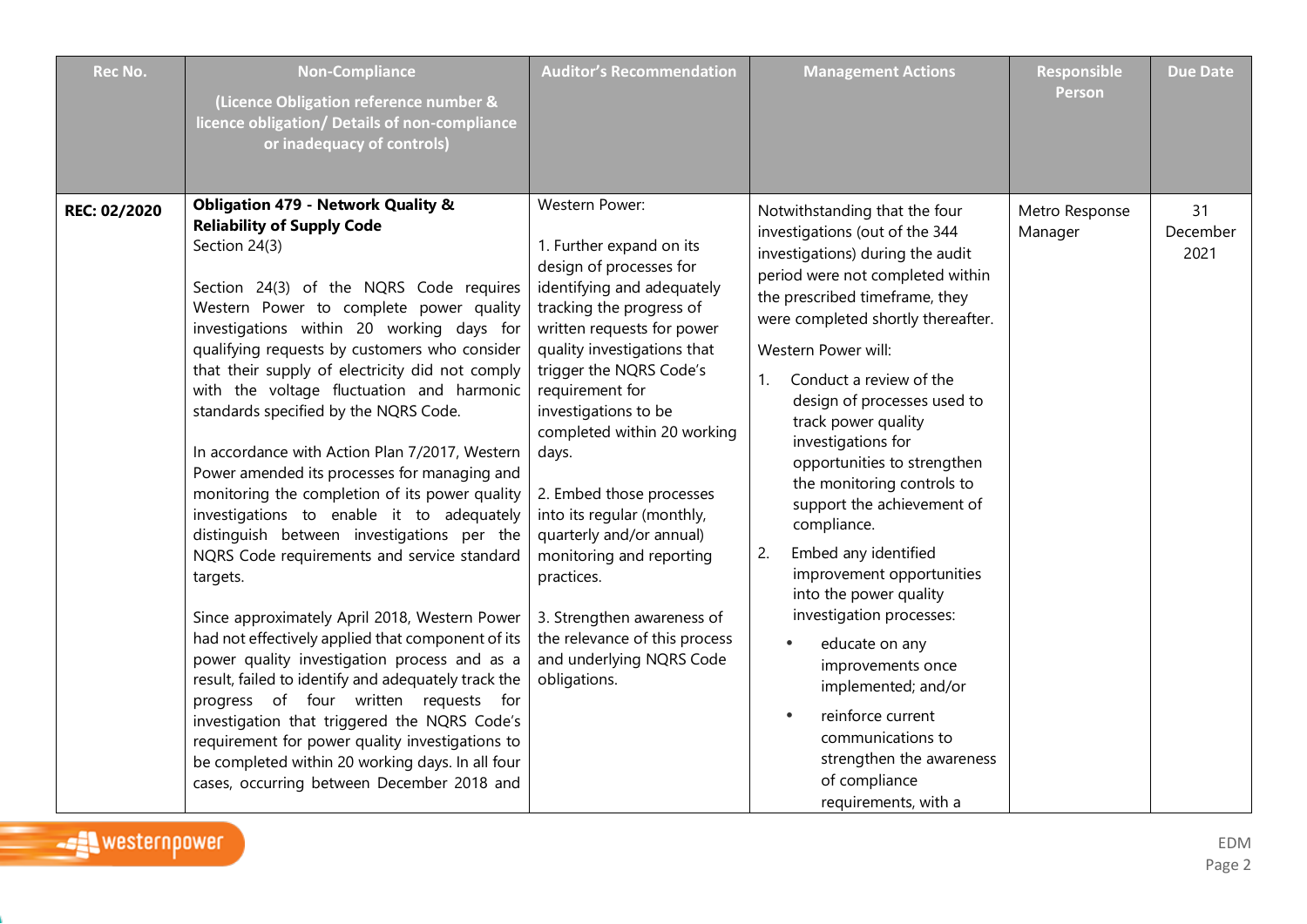| <b>Rec No.</b> | <b>Non-Compliance</b><br>(Licence Obligation reference number &<br>licence obligation/ Details of non-compliance<br>or inadequacy of controls)                                                                                                                                                                                                                                                                                                                                                                                                                                                                                                                                                                                                                                                                                                                                                                                                                                                                                                                                                                                                                                             | <b>Auditor's Recommendation</b>                                                                                                                                                                                                                                                                                                                                                                                                                                                                                                                       | <b>Management Actions</b>                                                                                                                                                                                                                                                                                                                                                                                                                                                                                                                                                                                                                                                                                                                                                            | Responsible<br>Person     | <b>Due Date</b>        |
|----------------|--------------------------------------------------------------------------------------------------------------------------------------------------------------------------------------------------------------------------------------------------------------------------------------------------------------------------------------------------------------------------------------------------------------------------------------------------------------------------------------------------------------------------------------------------------------------------------------------------------------------------------------------------------------------------------------------------------------------------------------------------------------------------------------------------------------------------------------------------------------------------------------------------------------------------------------------------------------------------------------------------------------------------------------------------------------------------------------------------------------------------------------------------------------------------------------------|-------------------------------------------------------------------------------------------------------------------------------------------------------------------------------------------------------------------------------------------------------------------------------------------------------------------------------------------------------------------------------------------------------------------------------------------------------------------------------------------------------------------------------------------------------|--------------------------------------------------------------------------------------------------------------------------------------------------------------------------------------------------------------------------------------------------------------------------------------------------------------------------------------------------------------------------------------------------------------------------------------------------------------------------------------------------------------------------------------------------------------------------------------------------------------------------------------------------------------------------------------------------------------------------------------------------------------------------------------|---------------------------|------------------------|
| REC: 02/2020   | Obligation 479 - Network Quality &<br><b>Reliability of Supply Code</b><br>Section 24(3)<br>Section 24(3) of the NQRS Code requires<br>Western Power to complete power quality<br>investigations within 20 working days for<br>qualifying requests by customers who consider<br>that their supply of electricity did not comply<br>with the voltage fluctuation and harmonic<br>standards specified by the NQRS Code.<br>In accordance with Action Plan 7/2017, Western<br>Power amended its processes for managing and<br>monitoring the completion of its power quality<br>investigations to enable it to adequately<br>distinguish between investigations per the<br>NQRS Code requirements and service standard<br>targets.<br>Since approximately April 2018, Western Power<br>had not effectively applied that component of its<br>power quality investigation process and as a<br>result, failed to identify and adequately track the<br>progress of four written requests for<br>investigation that triggered the NQRS Code's<br>requirement for power quality investigations to<br>be completed within 20 working days. In all four<br>cases, occurring between December 2018 and | Western Power:<br>1. Further expand on its<br>design of processes for<br>identifying and adequately<br>tracking the progress of<br>written requests for power<br>quality investigations that<br>trigger the NQRS Code's<br>requirement for<br>investigations to be<br>completed within 20 working<br>days.<br>2. Embed those processes<br>into its regular (monthly,<br>quarterly and/or annual)<br>monitoring and reporting<br>practices.<br>3. Strengthen awareness of<br>the relevance of this process<br>and underlying NQRS Code<br>obligations. | Notwithstanding that the four<br>investigations (out of the 344<br>investigations) during the audit<br>period were not completed within<br>the prescribed timeframe, they<br>were completed shortly thereafter.<br>Western Power will:<br>Conduct a review of the<br>$\mathbf{1}$ .<br>design of processes used to<br>track power quality<br>investigations for<br>opportunities to strengthen<br>the monitoring controls to<br>support the achievement of<br>compliance.<br>Embed any identified<br>2.<br>improvement opportunities<br>into the power quality<br>investigation processes:<br>educate on any<br>$\bullet$<br>improvements once<br>implemented; and/or<br>reinforce current<br>communications to<br>strengthen the awareness<br>of compliance<br>requirements, with a | Metro Response<br>Manager | 31<br>December<br>2021 |

e e c